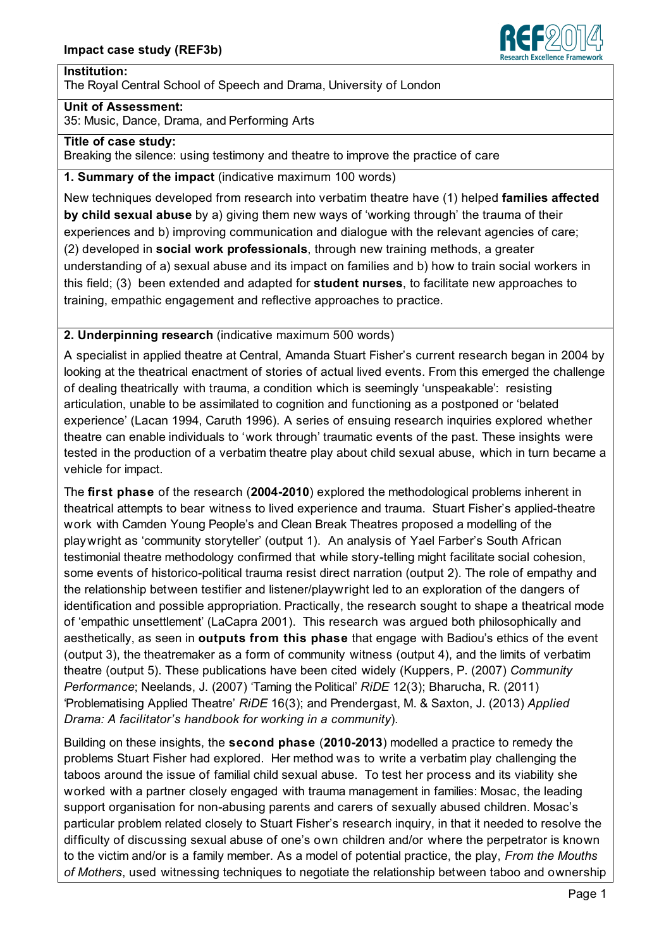

#### **Institution:**

The Royal Central School of Speech and Drama, University of London

#### **Unit of Assessment:**

35: Music, Dance, Drama, and Performing Arts

### **Title of case study:**

Breaking the silence: using testimony and theatre to improve the practice of care

**1. Summary of the impact** (indicative maximum 100 words)

New techniques developed from research into verbatim theatre have (1) helped **families affected by child sexual abuse** by a) giving them new ways of 'working through' the trauma of their experiences and b) improving communication and dialogue with the relevant agencies of care; (2) developed in **social work professionals**, through new training methods, a greater understanding of a) sexual abuse and its impact on families and b) how to train social workers in this field; (3) been extended and adapted for **student nurses**, to facilitate new approaches to training, empathic engagement and reflective approaches to practice.

## **2. Underpinning research** (indicative maximum 500 words)

A specialist in applied theatre at Central, Amanda Stuart Fisher's current research began in 2004 by looking at the theatrical enactment of stories of actual lived events. From this emerged the challenge of dealing theatrically with trauma, a condition which is seemingly 'unspeakable': resisting articulation, unable to be assimilated to cognition and functioning as a postponed or 'belated experience' (Lacan 1994, Caruth 1996). A series of ensuing research inquiries explored whether theatre can enable individuals to 'work through' traumatic events of the past. These insights were tested in the production of a verbatim theatre play about child sexual abuse, which in turn became a vehicle for impact.

The **first phase** of the research (**2004-2010**) explored the methodological problems inherent in theatrical attempts to bear witness to lived experience and trauma. Stuart Fisher's applied-theatre work with Camden Young People's and Clean Break Theatres proposed a modelling of the playwright as 'community storyteller' (output 1). An analysis of Yael Farber's South African testimonial theatre methodology confirmed that while story-telling might facilitate social cohesion, some events of historico-political trauma resist direct narration (output 2). The role of empathy and the relationship between testifier and listener/playwright led to an exploration of the dangers of identification and possible appropriation. Practically, the research sought to shape a theatrical mode of 'empathic unsettlement' (LaCapra 2001). This research was argued both philosophically and aesthetically, as seen in **outputs from this phase** that engage with Badiou's ethics of the event (output 3), the theatremaker as a form of community witness (output 4), and the limits of verbatim theatre (output 5). These publications have been cited widely (Kuppers, P. (2007) *Community Performance*; Neelands, J. (2007) 'Taming the Political' *RiDE* 12(3); Bharucha, R. (2011) 'Problematising Applied Theatre' *RiDE* 16(3); and Prendergast, M. & Saxton, J. (2013) *Applied Drama: A facilitator's handbook for working in a community*)*.*

Building on these insights, the **second phase** (**2010-2013**) modelled a practice to remedy the problems Stuart Fisher had explored. Her method was to write a verbatim play challenging the taboos around the issue of familial child sexual abuse. To test her process and its viability she worked with a partner closely engaged with trauma management in families: Mosac, the leading support organisation for non-abusing parents and carers of sexually abused children. Mosac's particular problem related closely to Stuart Fisher's research inquiry, in that it needed to resolve the difficulty of discussing sexual abuse of one's own children and/or where the perpetrator is known to the victim and/or is a family member. As a model of potential practice, the play, *From the Mouths of Mothers*, used witnessing techniques to negotiate the relationship between taboo and ownership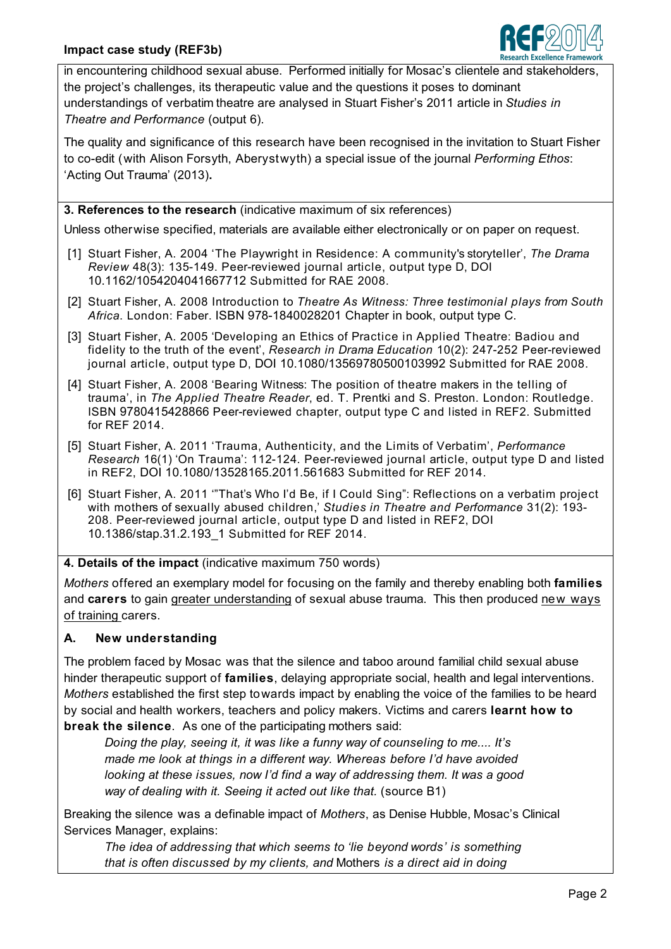

in encountering childhood sexual abuse. Performed initially for Mosac's clientele and stakeholders, the project's challenges, its therapeutic value and the questions it poses to dominant understandings of verbatim theatre are analysed in Stuart Fisher's 2011 article in *Studies in Theatre and Performance* (output 6).

The quality and significance of this research have been recognised in the invitation to Stuart Fisher to co-edit (with Alison Forsyth, Aberystwyth) a special issue of the journal *Performing Ethos*: 'Acting Out Trauma' (2013)**.**

**3. References to the research** (indicative maximum of six references)

Unless otherwise specified, materials are available either electronically or on paper on request.

- [1] Stuart Fisher, A. 2004 'The Playwright in Residence: A community's storyteller', *The Drama Review* 48(3): 135-149. Peer-reviewed journal article, output type D, DOI 10.1162/1054204041667712 Submitted for RAE 2008.
- [2] Stuart Fisher, A. 2008 Introduction to *Theatre As Witness: Three testimonial plays from South Africa*. London: Faber. ISBN 978-1840028201 Chapter in book, output type C.
- [3] Stuart Fisher, A. 2005 'Developing an Ethics of Practice in Applied Theatre: Badiou and fidelity to the truth of the event', *Research in Drama Education* 10(2): 247-252 Peer-reviewed journal article, output type D, DOI 10.1080/13569780500103992 Submitted for RAE 2008.
- [4] Stuart Fisher, A. 2008 'Bearing Witness: The position of theatre makers in the telling of trauma', in *The Applied Theatre Reader*, ed. T. Prentki and S. Preston. London: Routledge. ISBN 9780415428866 Peer-reviewed chapter, output type C and listed in REF2. Submitted for REF 2014.
- [5] Stuart Fisher, A. 2011 'Trauma, Authenticity, and the Limits of Verbatim', *Performance Research* 16(1) 'On Trauma': 112-124. Peer-reviewed journal article, output type D and listed in REF2, DOI 10.1080/13528165.2011.561683 Submitted for REF 2014.
- [6] Stuart Fisher, A. 2011 '"That's Who I'd Be, if I Could Sing": Reflections on a verbatim project with mothers of sexually abused children,' *Studies in Theatre and Performance* 31(2): 193- 208. Peer-reviewed journal article, output type D and listed in REF2, DOI 10.1386/stap.31.2.193\_1 Submitted for REF 2014.

**4. Details of the impact** (indicative maximum 750 words)

*Mothers* offered an exemplary model for focusing on the family and thereby enabling both **families** and **carers** to gain greater understanding of sexual abuse trauma. This then produced new ways of training carers.

# **A. New understanding**

The problem faced by Mosac was that the silence and taboo around familial child sexual abuse hinder therapeutic support of **families**, delaying appropriate social, health and legal interventions. *Mothers* established the first step towards impact by enabling the voice of the families to be heard by social and health workers, teachers and policy makers. Victims and carers **learnt how to break the silence**. As one of the participating mothers said:

*Doing the play, seeing it, it was like a funny way of counseling to me.... It's made me look at things in a different way. Whereas before I'd have avoided looking at these issues, now I'd find a way of addressing them. It was a good*  way of dealing with it. Seeing it acted out like that. (source B1)

Breaking the silence was a definable impact of *Mothers*, as Denise Hubble, Mosac's Clinical Services Manager, explains:

*The idea of addressing that which seems to 'lie beyond words' is something that is often discussed by my clients, and* Mothers *is a direct aid in doing*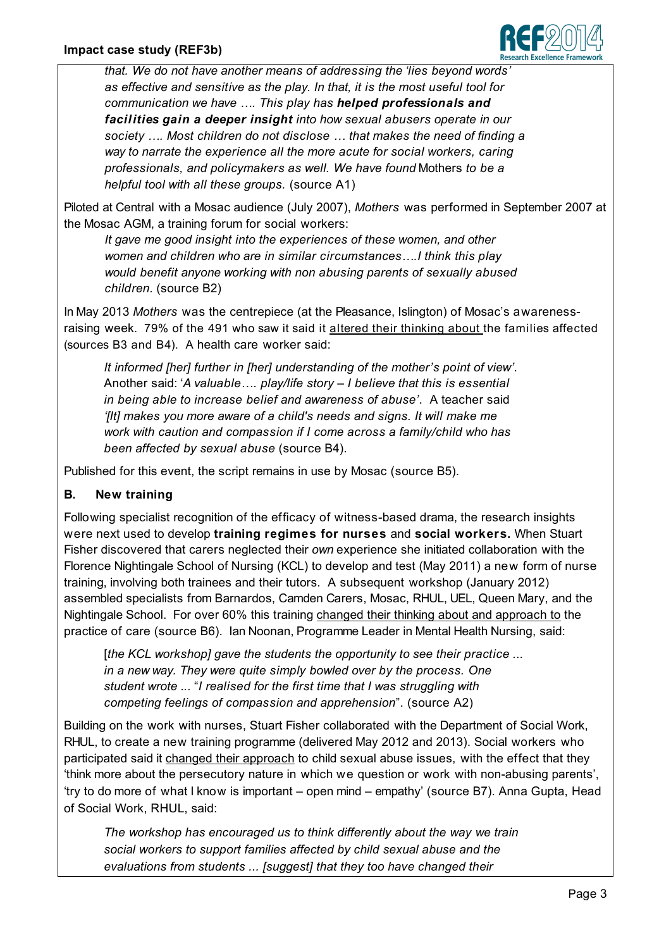

*that. We do not have another means of addressing the 'lies beyond words' as effective and sensitive as the play. In that, it is the most useful tool for communication we have …. This play has helped professionals and facilities gain a deeper insight into how sexual abusers operate in our society …. Most children do not disclose … that makes the need of finding a way to narrate the experience all the more acute for social workers, caring professionals, and policymakers as well. We have found* Mothers *to be a helpful tool with all these groups.* (source A1)

Piloted at Central with a Mosac audience (July 2007), *Mothers* was performed in September 2007 at the Mosac AGM, a training forum for social workers:

*It gave me good insight into the experiences of these women, and other women and children who are in similar circumstances….I think this play would benefit anyone working with non abusing parents of sexually abused children*. (source B2)

In May 2013 *Mothers* was the centrepiece (at the Pleasance, Islington) of Mosac's awarenessraising week. 79% of the 491 who saw it said it altered their thinking about the families affected (sources B3 and B4). A health care worker said:

*It informed [her] further in [her] understanding of the mother's point of view'*. Another said: '*A valuable…. play/life story – I believe that this is essential in being able to increase belief and awareness of abuse'*. A teacher said *'Ilt]* makes you more aware of a child's needs and signs. It will make me *work with caution and compassion if I come across a family/child who has been affected by sexual abuse* (source B4).

Published for this event, the script remains in use by Mosac (source B5).

# **B. New training**

Following specialist recognition of the efficacy of witness-based drama, the research insights were next used to develop **training regimes for nurses** and **social workers.** When Stuart Fisher discovered that carers neglected their *own* experience she initiated collaboration with the Florence Nightingale School of Nursing (KCL) to develop and test (May 2011) a new form of nurse training, involving both trainees and their tutors. A subsequent workshop (January 2012) assembled specialists from Barnardos, Camden Carers, Mosac, RHUL, UEL, Queen Mary, and the Nightingale School. For over 60% this training changed their thinking about and approach to the practice of care (source B6). Ian Noonan, Programme Leader in Mental Health Nursing, said:

[*the KCL workshop] gave the students the opportunity to see their practice ... in a new way. They were quite simply bowled over by the process. One student wrote ...* "*I realised for the first time that I was struggling with competing feelings of compassion and apprehension*". (source A2)

Building on the work with nurses, Stuart Fisher collaborated with the Department of Social Work, RHUL, to create a new training programme (delivered May 2012 and 2013). Social workers who participated said it changed their approach to child sexual abuse issues, with the effect that they 'think more about the persecutory nature in which we question or work with non-abusing parents', 'try to do more of what I know is important – open mind – empathy' (source B7). Anna Gupta, Head of Social Work, RHUL, said:

*The workshop has encouraged us to think differently about the way we train social workers to support families affected by child sexual abuse and the evaluations from students ... [suggest] that they too have changed their*